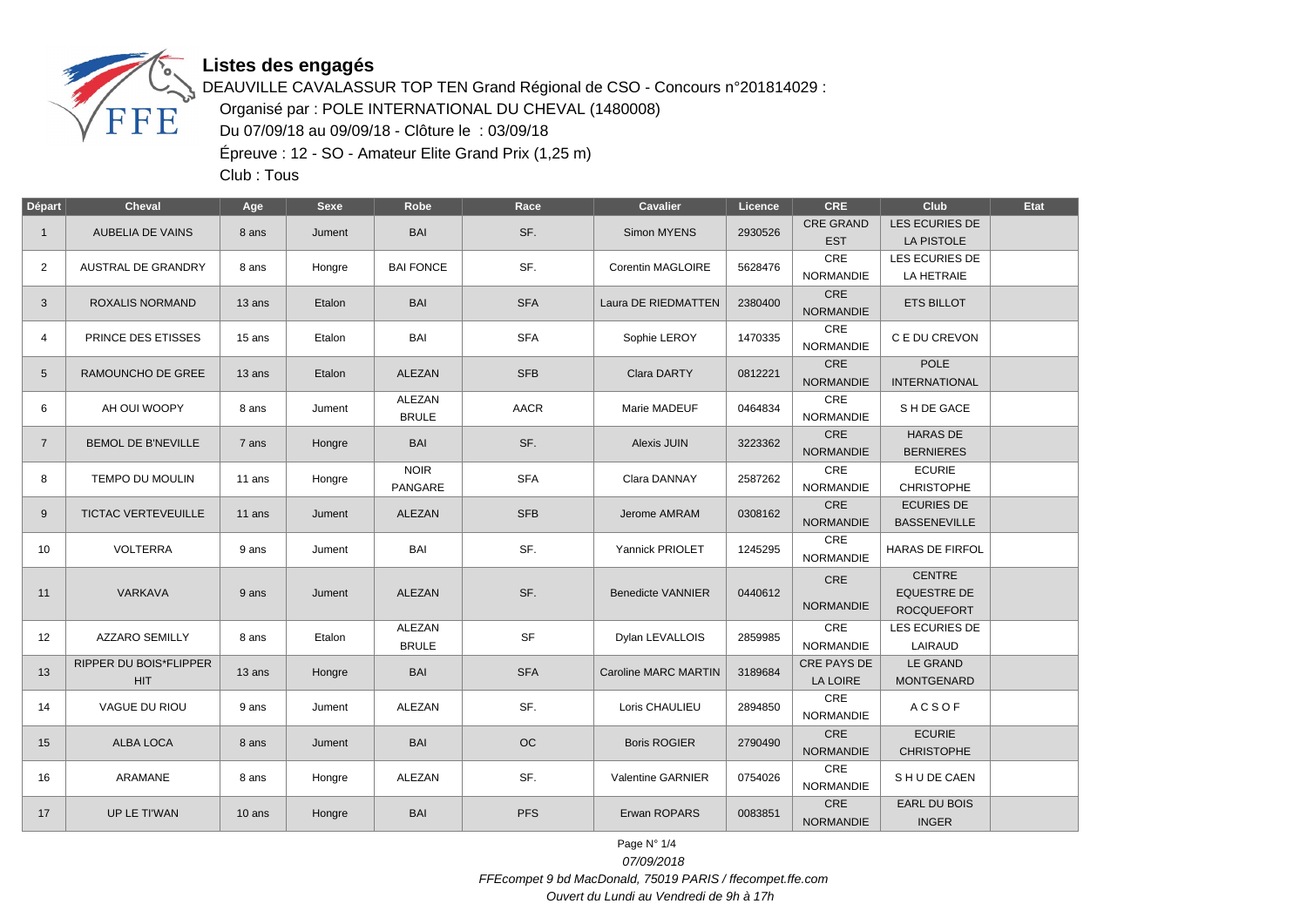

## **Listes des engagés**

DEAUVILLE CAVALASSUR TOP TEN Grand Régional de CSO - Concours n°201814029 : Organisé par : POLE INTERNATIONAL DU CHEVAL (1480008) Du 07/09/18 au 09/09/18 - Clôture le : 03/09/18 Épreuve : 12 - SO - Amateur Elite Grand Prix (1,25 m)

Club : Tous

| Départ         | <b>Cheval</b>                               | Age      | <b>Sexe</b> | Robe                   | Race        | <b>Cavalier</b>             | Licence | <b>CRE</b>                     | Club                                                     | <b>Etat</b> |
|----------------|---------------------------------------------|----------|-------------|------------------------|-------------|-----------------------------|---------|--------------------------------|----------------------------------------------------------|-------------|
| $\mathbf{1}$   | <b>AUBELIA DE VAINS</b>                     | 8 ans    | Jument      | <b>BAI</b>             | SF.         | Simon MYENS                 | 2930526 | <b>CRE GRAND</b><br><b>EST</b> | LES ECURIES DE<br>LA PISTOLE                             |             |
| $\overline{2}$ | <b>AUSTRAL DE GRANDRY</b>                   | 8 ans    | Hongre      | <b>BAI FONCE</b>       | SF.         | Corentin MAGLOIRE           | 5628476 | CRE<br><b>NORMANDIE</b>        | LES ECURIES DE<br>LA HETRAIE                             |             |
| 3              | <b>ROXALIS NORMAND</b>                      | 13 ans   | Etalon      | <b>BAI</b>             | <b>SFA</b>  | Laura DE RIEDMATTEN         | 2380400 | CRE<br><b>NORMANDIE</b>        | <b>ETS BILLOT</b>                                        |             |
| 4              | PRINCE DES ETISSES                          | 15 ans   | Etalon      | BAI                    | <b>SFA</b>  | Sophie LEROY                | 1470335 | CRE<br><b>NORMANDIE</b>        | C E DU CREVON                                            |             |
| 5              | <b>RAMOUNCHO DE GREE</b>                    | $13$ ans | Etalon      | <b>ALEZAN</b>          | <b>SFB</b>  | Clara DARTY                 | 0812221 | CRE<br><b>NORMANDIE</b>        | <b>POLE</b><br><b>INTERNATIONAL</b>                      |             |
| 6              | AH OUI WOOPY                                | 8 ans    | Jument      | ALEZAN<br><b>BRULE</b> | <b>AACR</b> | Marie MADEUF                | 0464834 | CRE<br><b>NORMANDIE</b>        | S H DE GACE                                              |             |
| $\overline{7}$ | <b>BEMOL DE B'NEVILLE</b>                   | 7 ans    | Hongre      | <b>BAI</b>             | SF.         | Alexis JUIN                 | 3223362 | CRE<br><b>NORMANDIE</b>        | <b>HARAS DE</b><br><b>BERNIERES</b>                      |             |
| 8              | TEMPO DU MOULIN                             | 11 ans   | Hongre      | <b>NOIR</b><br>PANGARE | <b>SFA</b>  | Clara DANNAY                | 2587262 | CRE<br><b>NORMANDIE</b>        | <b>ECURIE</b><br><b>CHRISTOPHE</b>                       |             |
| 9              | <b>TICTAC VERTEVEUILLE</b>                  | 11 ans   | Jument      | ALEZAN                 | <b>SFB</b>  | Jerome AMRAM                | 0308162 | CRE<br><b>NORMANDIE</b>        | <b>ECURIES DE</b><br><b>BASSENEVILLE</b>                 |             |
| 10             | <b>VOLTERRA</b>                             | 9 ans    | Jument      | BAI                    | SF.         | Yannick PRIOLET             | 1245295 | CRE<br><b>NORMANDIE</b>        | HARAS DE FIRFOL                                          |             |
| 11             | VARKAVA                                     | 9 ans    | Jument      | <b>ALEZAN</b>          | SF.         | <b>Benedicte VANNIER</b>    | 0440612 | CRE<br><b>NORMANDIE</b>        | <b>CENTRE</b><br><b>EQUESTRE DE</b><br><b>ROCQUEFORT</b> |             |
| 12             | <b>AZZARO SEMILLY</b>                       | 8 ans    | Etalon      | ALEZAN<br><b>BRULE</b> | <b>SF</b>   | Dylan LEVALLOIS             | 2859985 | CRE<br><b>NORMANDIE</b>        | LES ECURIES DE<br>LAIRAUD                                |             |
| 13             | <b>RIPPER DU BOIS*FLIPPER</b><br><b>HIT</b> | 13 ans   | Hongre      | <b>BAI</b>             | <b>SFA</b>  | <b>Caroline MARC MARTIN</b> | 3189684 | CRE PAYS DE<br>LA LOIRE        | LE GRAND<br><b>MONTGENARD</b>                            |             |
| 14             | VAGUE DU RIOU                               | 9 ans    | Jument      | ALEZAN                 | SF.         | Loris CHAULIEU              | 2894850 | CRE<br>NORMANDIE               | <b>ACSOF</b>                                             |             |
| 15             | ALBA LOCA                                   | 8 ans    | Jument      | <b>BAI</b>             | OC          | <b>Boris ROGIER</b>         | 2790490 | <b>CRE</b><br><b>NORMANDIE</b> | <b>ECURIE</b><br><b>CHRISTOPHE</b>                       |             |
| 16             | <b>ARAMANE</b>                              | 8 ans    | Hongre      | ALEZAN                 | SF.         | Valentine GARNIER           | 0754026 | CRE<br><b>NORMANDIE</b>        | SHUDE CAEN                                               |             |
| 17             | UP LE TI'WAN                                | 10 ans   | Hongre      | <b>BAI</b>             | <b>PFS</b>  | Erwan ROPARS                | 0083851 | CRE<br><b>NORMANDIE</b>        | EARL DU BOIS<br><b>INGER</b>                             |             |

Page N° 1/4 07/09/2018 FFEcompet 9 bd MacDonald, 75019 PARIS / ffecompet.ffe.com Ouvert du Lundi au Vendredi de 9h à 17h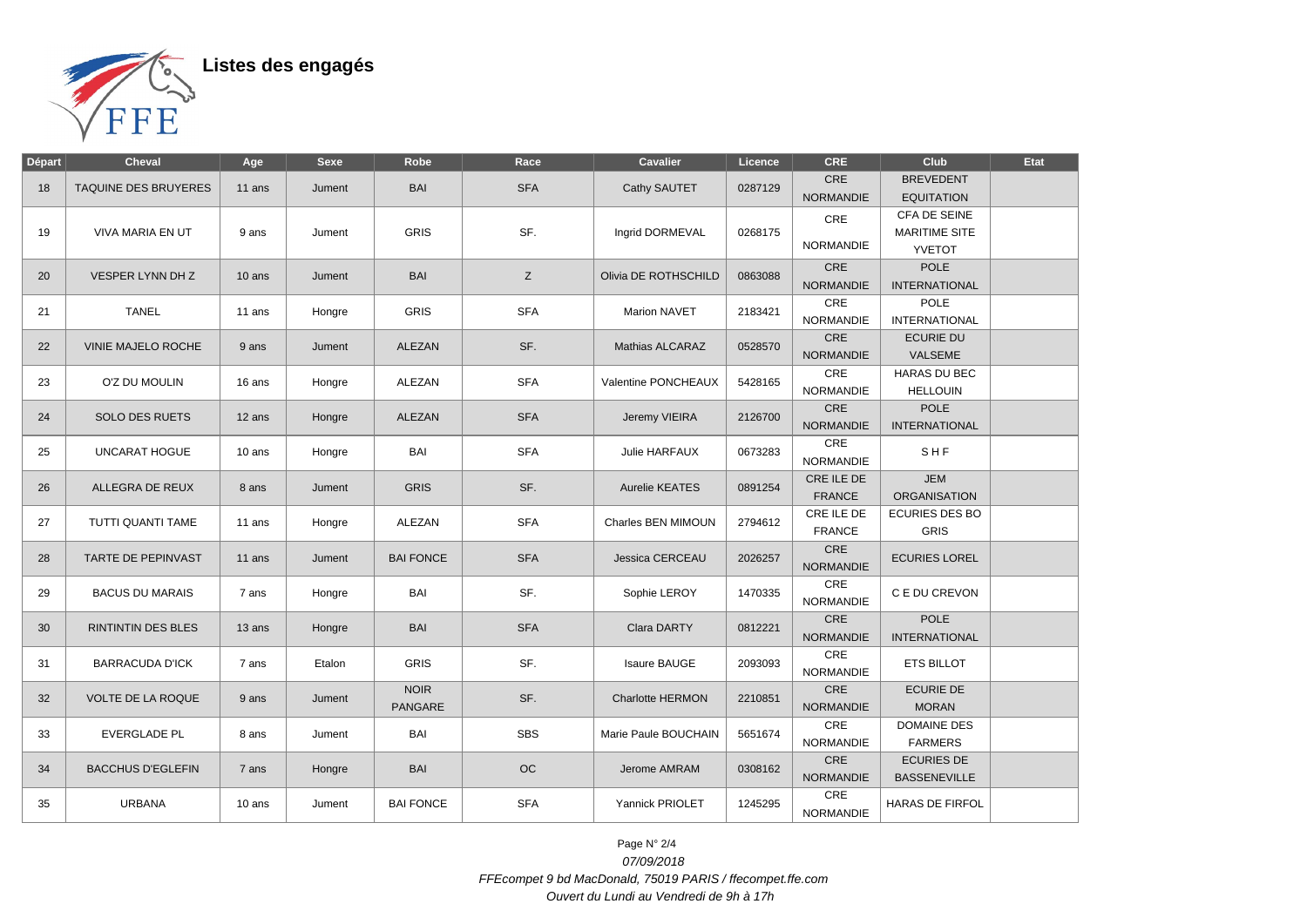

Listes des engagés

| Départ | <b>Cheval</b>               | Age      | <b>Sexe</b> | Robe                          | Race       | <b>Cavalier</b>         | Licence | <b>CRE</b>                         | <b>Club</b>                                           | Etat |
|--------|-----------------------------|----------|-------------|-------------------------------|------------|-------------------------|---------|------------------------------------|-------------------------------------------------------|------|
| 18     | <b>TAQUINE DES BRUYERES</b> | $11$ ans | Jument      | <b>BAI</b>                    | <b>SFA</b> | Cathy SAUTET            | 0287129 | <b>CRE</b><br><b>NORMANDIE</b>     | <b>BREVEDENT</b><br><b>EQUITATION</b>                 |      |
| 19     | VIVA MARIA EN UT            | 9 ans    | Jument      | <b>GRIS</b>                   | SF.        | Ingrid DORMEVAL         | 0268175 | CRE<br><b>NORMANDIE</b>            | CFA DE SEINE<br><b>MARITIME SITE</b><br><b>YVETOT</b> |      |
| 20     | VESPER LYNN DH Z            | $10$ ans | Jument      | <b>BAI</b>                    | Z          | Olivia DE ROTHSCHILD    | 0863088 | CRE<br><b>NORMANDIE</b>            | <b>POLE</b><br><b>INTERNATIONAL</b>                   |      |
| 21     | <b>TANEL</b>                | 11 ans   | Hongre      | <b>GRIS</b>                   | <b>SFA</b> | Marion NAVET            | 2183421 | CRE<br><b>NORMANDIE</b>            | <b>POLE</b><br><b>INTERNATIONAL</b>                   |      |
| 22     | VINIE MAJELO ROCHE          | 9 ans    | Jument      | ALEZAN                        | SF.        | Mathias ALCARAZ         | 0528570 | CRE<br><b>NORMANDIE</b>            | <b>ECURIE DU</b><br>VALSEME                           |      |
| 23     | O'Z DU MOULIN               | 16 ans   | Hongre      | ALEZAN                        | <b>SFA</b> | Valentine PONCHEAUX     | 5428165 | $\mathsf{CRE}$<br><b>NORMANDIE</b> | <b>HARAS DU BEC</b><br><b>HELLOUIN</b>                |      |
| 24     | <b>SOLO DES RUETS</b>       | 12 ans   | Hongre      | ALEZAN                        | <b>SFA</b> | Jeremy VIEIRA           | 2126700 | CRE<br><b>NORMANDIE</b>            | <b>POLE</b><br><b>INTERNATIONAL</b>                   |      |
| 25     | <b>UNCARAT HOGUE</b>        | 10 ans   | Hongre      | BAI                           | <b>SFA</b> | Julie HARFAUX           | 0673283 | CRE<br><b>NORMANDIE</b>            | SHF                                                   |      |
| 26     | ALLEGRA DE REUX             | 8 ans    | Jument      | <b>GRIS</b>                   | SF.        | Aurelie KEATES          | 0891254 | CRE ILE DE<br>FRANCE               | <b>JEM</b><br><b>ORGANISATION</b>                     |      |
| 27     | TUTTI QUANTI TAME           | 11 ans   | Hongre      | <b>ALEZAN</b>                 | <b>SFA</b> | Charles BEN MIMOUN      | 2794612 | CRE ILE DE<br><b>FRANCE</b>        | <b>ECURIES DES BO</b><br><b>GRIS</b>                  |      |
| 28     | TARTE DE PEPINVAST          | 11 ans   | Jument      | <b>BAI FONCE</b>              | <b>SFA</b> | Jessica CERCEAU         | 2026257 | CRE<br><b>NORMANDIE</b>            | <b>ECURIES LOREL</b>                                  |      |
| 29     | <b>BACUS DU MARAIS</b>      | 7 ans    | Hongre      | BAI                           | SF.        | Sophie LEROY            | 1470335 | CRE<br><b>NORMANDIE</b>            | C E DU CREVON                                         |      |
| 30     | <b>RINTINTIN DES BLES</b>   | 13 ans   | Hongre      | <b>BAI</b>                    | <b>SFA</b> | Clara DARTY             | 0812221 | <b>CRE</b><br><b>NORMANDIE</b>     | <b>POLE</b><br><b>INTERNATIONAL</b>                   |      |
| 31     | <b>BARRACUDA D'ICK</b>      | 7 ans    | Etalon      | <b>GRIS</b>                   | SF.        | <b>Isaure BAUGE</b>     | 2093093 | CRE<br><b>NORMANDIE</b>            | <b>ETS BILLOT</b>                                     |      |
| 32     | <b>VOLTE DE LA ROQUE</b>    | 9 ans    | Jument      | <b>NOIR</b><br><b>PANGARE</b> | SF.        | <b>Charlotte HERMON</b> | 2210851 | CRE<br><b>NORMANDIE</b>            | <b>ECURIE DE</b><br><b>MORAN</b>                      |      |
| 33     | <b>EVERGLADE PL</b>         | 8 ans    | Jument      | BAI                           | <b>SBS</b> | Marie Paule BOUCHAIN    | 5651674 | CRE<br><b>NORMANDIE</b>            | <b>DOMAINE DES</b><br><b>FARMERS</b>                  |      |
| 34     | <b>BACCHUS D'EGLEFIN</b>    | 7 ans    | Hongre      | <b>BAI</b>                    | OC         | Jerome AMRAM            | 0308162 | CRE<br><b>NORMANDIE</b>            | <b>ECURIES DE</b><br><b>BASSENEVILLE</b>              |      |
| 35     | <b>URBANA</b>               | 10 ans   | Jument      | <b>BAI FONCE</b>              | <b>SFA</b> | Yannick PRIOLET         | 1245295 | <b>CRE</b><br><b>NORMANDIE</b>     | HARAS DE FIRFOL                                       |      |

Page N° 2/4 07/09/2018 FFEcompet 9 bd MacDonald, 75019 PARIS / ffecompet.ffe.com Ouvert du Lundi au Vendredi de 9h à 17h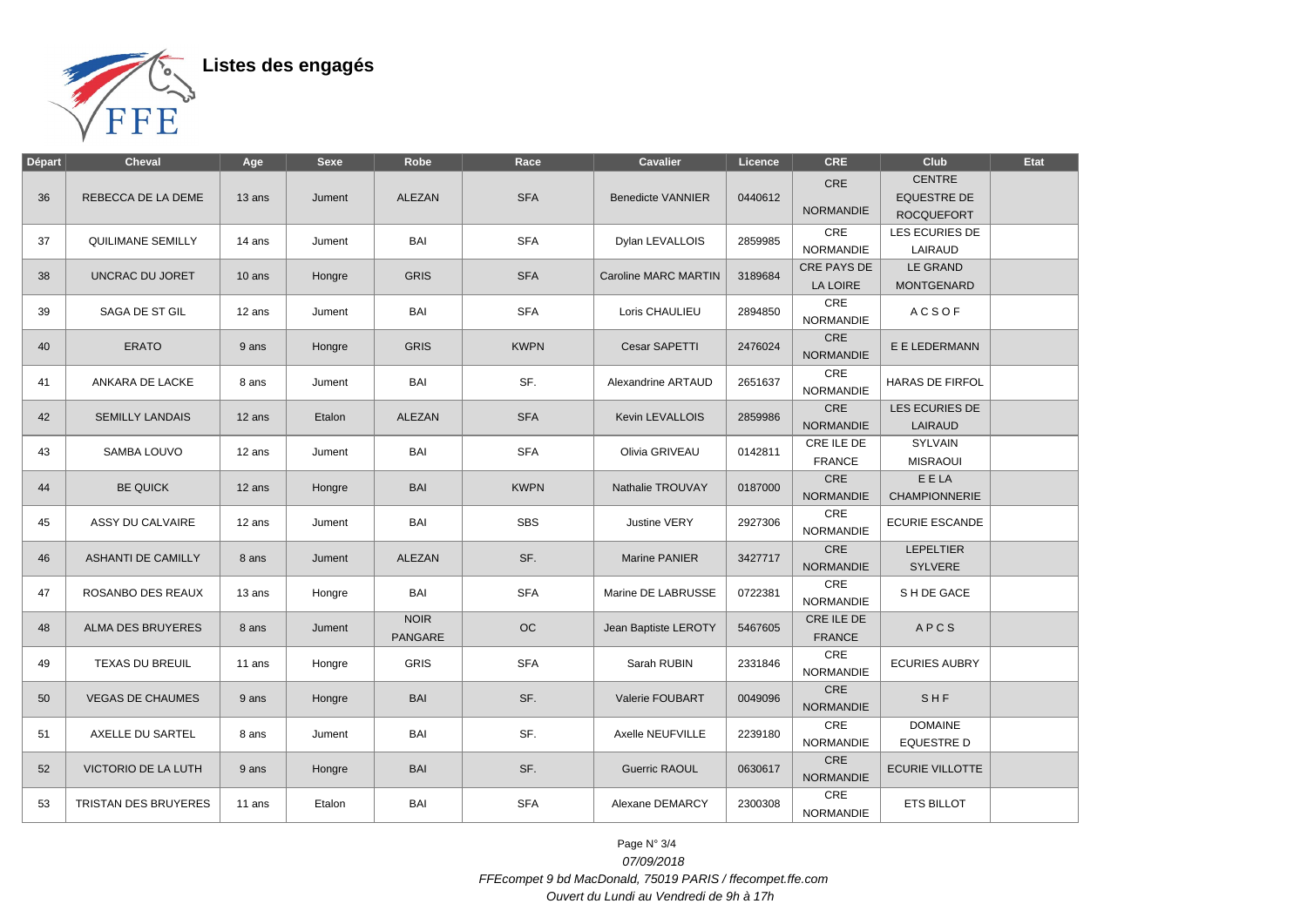

Listes des engagés

| Départ | <b>Cheval</b>            | Age    | <b>Sexe</b> | Robe                          | Race        | <b>Cavalier</b>             | Licence | <b>CRE</b>                  | Club                                                     | <b>Etat</b> |
|--------|--------------------------|--------|-------------|-------------------------------|-------------|-----------------------------|---------|-----------------------------|----------------------------------------------------------|-------------|
| 36     | REBECCA DE LA DEME       | 13 ans | Jument      | ALEZAN                        | <b>SFA</b>  | <b>Benedicte VANNIER</b>    | 0440612 | CRE<br><b>NORMANDIE</b>     | <b>CENTRE</b><br><b>EQUESTRE DE</b><br><b>ROCQUEFORT</b> |             |
| 37     | QUILIMANE SEMILLY        | 14 ans | Jument      | BAI                           | <b>SFA</b>  | Dylan LEVALLOIS             | 2859985 | CRE<br><b>NORMANDIE</b>     | LES ECURIES DE<br>LAIRAUD                                |             |
| 38     | UNCRAC DU JORET          | 10 ans | Hongre      | <b>GRIS</b>                   | <b>SFA</b>  | <b>Caroline MARC MARTIN</b> | 3189684 | CRE PAYS DE<br>LA LOIRE     | LE GRAND<br><b>MONTGENARD</b>                            |             |
| 39     | SAGA DE ST GIL           | 12 ans | Jument      | BAI                           | <b>SFA</b>  | Loris CHAULIEU              | 2894850 | CRE<br><b>NORMANDIE</b>     | <b>ACSOF</b>                                             |             |
| 40     | <b>ERATO</b>             | 9 ans  | Hongre      | <b>GRIS</b>                   | <b>KWPN</b> | Cesar SAPETTI               | 2476024 | CRE<br><b>NORMANDIE</b>     | E E LEDERMANN                                            |             |
| 41     | ANKARA DE LACKE          | 8 ans  | Jument      | BAI                           | SF.         | Alexandrine ARTAUD          | 2651637 | CRE<br><b>NORMANDIE</b>     | <b>HARAS DE FIRFOL</b>                                   |             |
| 42     | <b>SEMILLY LANDAIS</b>   | 12 ans | Etalon      | ALEZAN                        | <b>SFA</b>  | Kevin LEVALLOIS             | 2859986 | CRE<br><b>NORMANDIE</b>     | LES ECURIES DE<br>LAIRAUD                                |             |
| 43     | SAMBA LOUVO              | 12 ans | Jument      | BAI                           | <b>SFA</b>  | Olivia GRIVEAU              | 0142811 | CRE ILE DE<br><b>FRANCE</b> | SYLVAIN<br><b>MISRAOUI</b>                               |             |
| 44     | <b>BE QUICK</b>          | 12 ans | Hongre      | <b>BAI</b>                    | <b>KWPN</b> | Nathalie TROUVAY            | 0187000 | CRE<br><b>NORMANDIE</b>     | E E LA<br>CHAMPIONNERIE                                  |             |
| 45     | ASSY DU CALVAIRE         | 12 ans | Jument      | BAI                           | <b>SBS</b>  | Justine VERY                | 2927306 | CRE<br><b>NORMANDIE</b>     | <b>ECURIE ESCANDE</b>                                    |             |
| 46     | ASHANTI DE CAMILLY       | 8 ans  | Jument      | ALEZAN                        | SF.         | Marine PANIER               | 3427717 | CRE<br><b>NORMANDIE</b>     | <b>LEPELTIER</b><br><b>SYLVERE</b>                       |             |
| 47     | ROSANBO DES REAUX        | 13 ans | Hongre      | BAI                           | <b>SFA</b>  | Marine DE LABRUSSE          | 0722381 | CRE<br><b>NORMANDIE</b>     | SH DE GACE                                               |             |
| 48     | <b>ALMA DES BRUYERES</b> | 8 ans  | Jument      | <b>NOIR</b><br><b>PANGARE</b> | OC          | Jean Baptiste LEROTY        | 5467605 | CRE ILE DE<br><b>FRANCE</b> | APCS                                                     |             |
| 49     | TEXAS DU BREUIL          | 11 ans | Hongre      | <b>GRIS</b>                   | <b>SFA</b>  | Sarah RUBIN                 | 2331846 | <b>CRE</b><br>NORMANDIE     | <b>ECURIES AUBRY</b>                                     |             |
| 50     | <b>VEGAS DE CHAUMES</b>  | 9 ans  | Hongre      | <b>BAI</b>                    | SF.         | Valerie FOUBART             | 0049096 | CRE<br><b>NORMANDIE</b>     | SHF                                                      |             |
| 51     | AXELLE DU SARTEL         | 8 ans  | Jument      | BAI                           | SF.         | Axelle NEUFVILLE            | 2239180 | CRE<br><b>NORMANDIE</b>     | <b>DOMAINE</b><br><b>EQUESTRE D</b>                      |             |
| 52     | VICTORIO DE LA LUTH      | 9 ans  | Hongre      | <b>BAI</b>                    | SF.         | <b>Guerric RAOUL</b>        | 0630617 | CRE<br><b>NORMANDIE</b>     | <b>ECURIE VILLOTTE</b>                                   |             |
| 53     | TRISTAN DES BRUYERES     | 11 ans | Etalon      | BAI                           | <b>SFA</b>  | Alexane DEMARCY             | 2300308 | CRE<br>NORMANDIE            | ETS BILLOT                                               |             |

Page N° 3/4 07/09/2018 FFEcompet 9 bd MacDonald, 75019 PARIS / ffecompet.ffe.com Ouvert du Lundi au Vendredi de 9h à 17h